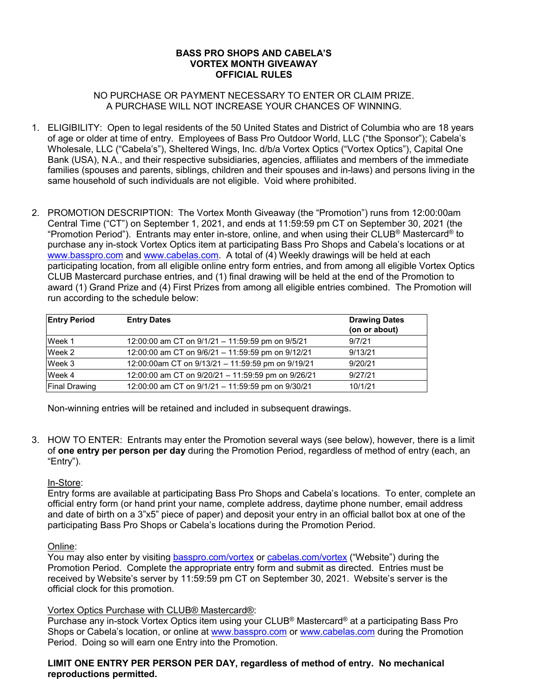# **BASS PRO SHOPS AND CABELA'S VORTEX MONTH GIVEAWAY OFFICIAL RULES**

# NO PURCHASE OR PAYMENT NECESSARY TO ENTER OR CLAIM PRIZE. A PURCHASE WILL NOT INCREASE YOUR CHANCES OF WINNING.

- 1. ELIGIBILITY: Open to legal residents of the 50 United States and District of Columbia who are 18 years of age or older at time of entry. Employees of Bass Pro Outdoor World, LLC ("the Sponsor"); Cabela's Wholesale, LLC ("Cabela's"), Sheltered Wings, Inc. d/b/a Vortex Optics ("Vortex Optics"), Capital One Bank (USA), N.A., and their respective subsidiaries, agencies, affiliates and members of the immediate families (spouses and parents, siblings, children and their spouses and in-laws) and persons living in the same household of such individuals are not eligible. Void where prohibited.
- 2. PROMOTION DESCRIPTION: The Vortex Month Giveaway (the "Promotion") runs from 12:00:00am Central Time ("CT") on September 1, 2021, and ends at 11:59:59 pm CT on September 30, 2021 (the "Promotion Period"). Entrants may enter in-store, online, and when using their CLUB® Mastercard® to purchase any in-stock Vortex Optics item at participating Bass Pro Shops and Cabela's locations or at [www.basspro.com](http://www.basspro.com/) and [www.cabelas.com.](http://www.cabelas.com/) A total of (4) Weekly drawings will be held at each participating location, from all eligible online entry form entries, and from among all eligible Vortex Optics CLUB Mastercard purchase entries, and (1) final drawing will be held at the end of the Promotion to award (1) Grand Prize and (4) First Prizes from among all eligible entries combined. The Promotion will run according to the schedule below:

| <b>Entry Period</b>  | <b>Entry Dates</b>                                 | <b>Drawing Dates</b><br>(on or about) |
|----------------------|----------------------------------------------------|---------------------------------------|
| Week 1               | 12:00:00 am CT on 9/1/21 - 11:59:59 pm on 9/5/21   | 9/7/21                                |
| Week 2               | 12:00:00 am CT on 9/6/21 - 11:59:59 pm on 9/12/21  | 9/13/21                               |
| Week 3               | 12:00:00am CT on 9/13/21 - 11:59:59 pm on 9/19/21  | 9/20/21                               |
| Week 4               | 12:00:00 am CT on 9/20/21 - 11:59:59 pm on 9/26/21 | 9/27/21                               |
| <b>Final Drawing</b> | 12:00:00 am CT on 9/1/21 - 11:59:59 pm on 9/30/21  | 10/1/21                               |

Non-winning entries will be retained and included in subsequent drawings.

3. HOW TO ENTER: Entrants may enter the Promotion several ways (see below), however, there is a limit of **one entry per person per day** during the Promotion Period, regardless of method of entry (each, an "Entry").

## In-Store:

Entry forms are available at participating Bass Pro Shops and Cabela's locations. To enter, complete an official entry form (or hand print your name, complete address, daytime phone number, email address and date of birth on a 3"x5" piece of paper) and deposit your entry in an official ballot box at one of the participating Bass Pro Shops or Cabela's locations during the Promotion Period.

## Online:

You may also enter by visiting [basspro.com/vortex](http://www.basspro.com/vortex) or [cabelas.com/vortex](http://www.cabelas.com/vortex) ("Website") during the Promotion Period. Complete the appropriate entry form and submit as directed. Entries must be received by Website's server by 11:59:59 pm CT on September 30, 2021. Website's server is the official clock for this promotion.

## Vortex Optics Purchase with CLUB® Mastercard®:

Purchase any in-stock Vortex Optics item using your CLUB® Mastercard® at a participating Bass Pro Shops or Cabela's location, or online at [www.basspro.com](http://www.basspro.com/) or [www.cabelas.com](http://www.cabelas.com/) during the Promotion Period. Doing so will earn one Entry into the Promotion.

## **LIMIT ONE ENTRY PER PERSON PER DAY, regardless of method of entry. No mechanical reproductions permitted.**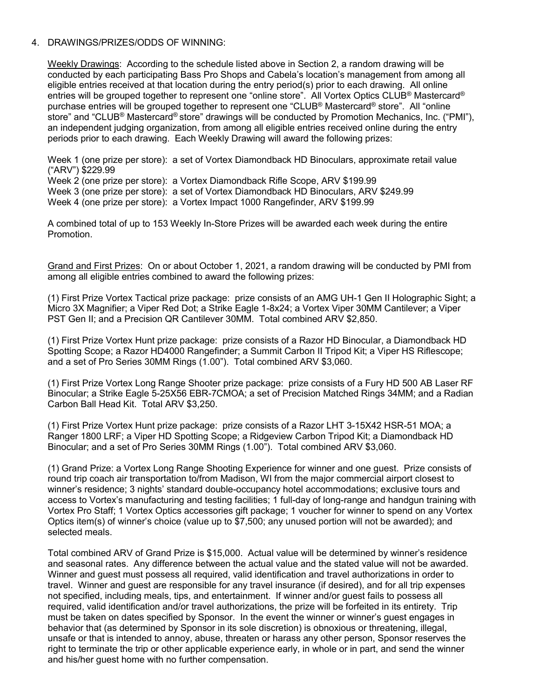#### 4. DRAWINGS/PRIZES/ODDS OF WINNING:

Weekly Drawings: According to the schedule listed above in Section 2, a random drawing will be conducted by each participating Bass Pro Shops and Cabela's location's management from among all eligible entries received at that location during the entry period(s) prior to each drawing. All online entries will be grouped together to represent one "online store". All Vortex Optics CLUB® Mastercard® purchase entries will be grouped together to represent one "CLUB® Mastercard® store". All "online store" and "CLUB® Mastercard® store" drawings will be conducted by Promotion Mechanics, Inc. ("PMI"), an independent judging organization, from among all eligible entries received online during the entry periods prior to each drawing. Each Weekly Drawing will award the following prizes:

Week 1 (one prize per store): a set of Vortex Diamondback HD Binoculars, approximate retail value ("ARV") \$229.99

Week 2 (one prize per store): a Vortex Diamondback Rifle Scope, ARV \$199.99

Week 3 (one prize per store): a set of Vortex Diamondback HD Binoculars, ARV \$249.99

Week 4 (one prize per store): a Vortex Impact 1000 Rangefinder, ARV \$199.99

A combined total of up to 153 Weekly In-Store Prizes will be awarded each week during the entire Promotion.

Grand and First Prizes: On or about October 1, 2021, a random drawing will be conducted by PMI from among all eligible entries combined to award the following prizes:

(1) First Prize Vortex Tactical prize package: prize consists of an AMG UH-1 Gen II Holographic Sight; a Micro 3X Magnifier; a Viper Red Dot; a Strike Eagle 1-8x24; a Vortex Viper 30MM Cantilever; a Viper PST Gen II; and a Precision QR Cantilever 30MM. Total combined ARV \$2,850.

(1) First Prize Vortex Hunt prize package: prize consists of a Razor HD Binocular, a Diamondback HD Spotting Scope; a Razor HD4000 Rangefinder; a Summit Carbon II Tripod Kit; a Viper HS Riflescope; and a set of Pro Series 30MM Rings (1.00"). Total combined ARV \$3,060.

(1) First Prize Vortex Long Range Shooter prize package: prize consists of a Fury HD 500 AB Laser RF Binocular; a Strike Eagle 5-25X56 EBR-7CMOA; a set of Precision Matched Rings 34MM; and a Radian Carbon Ball Head Kit. Total ARV \$3,250.

(1) First Prize Vortex Hunt prize package: prize consists of a Razor LHT 3-15X42 HSR-51 MOA; a Ranger 1800 LRF; a Viper HD Spotting Scope; a Ridgeview Carbon Tripod Kit; a Diamondback HD Binocular; and a set of Pro Series 30MM Rings (1.00"). Total combined ARV \$3,060.

(1) Grand Prize: a Vortex Long Range Shooting Experience for winner and one guest. Prize consists of round trip coach air transportation to/from Madison, WI from the major commercial airport closest to winner's residence; 3 nights' standard double-occupancy hotel accommodations; exclusive tours and access to Vortex's manufacturing and testing facilities; 1 full-day of long-range and handgun training with Vortex Pro Staff; 1 Vortex Optics accessories gift package; 1 voucher for winner to spend on any Vortex Optics item(s) of winner's choice (value up to \$7,500; any unused portion will not be awarded); and selected meals.

Total combined ARV of Grand Prize is \$15,000. Actual value will be determined by winner's residence and seasonal rates. Any difference between the actual value and the stated value will not be awarded. Winner and guest must possess all required, valid identification and travel authorizations in order to travel. Winner and guest are responsible for any travel insurance (if desired), and for all trip expenses not specified, including meals, tips, and entertainment. If winner and/or guest fails to possess all required, valid identification and/or travel authorizations, the prize will be forfeited in its entirety. Trip must be taken on dates specified by Sponsor. In the event the winner or winner's guest engages in behavior that (as determined by Sponsor in its sole discretion) is obnoxious or threatening, illegal, unsafe or that is intended to annoy, abuse, threaten or harass any other person, Sponsor reserves the right to terminate the trip or other applicable experience early, in whole or in part, and send the winner and his/her guest home with no further compensation.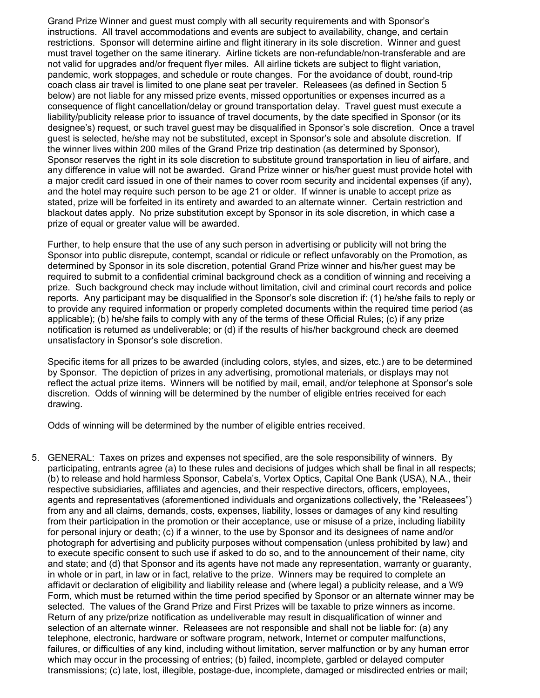Grand Prize Winner and guest must comply with all security requirements and with Sponsor's instructions. All travel accommodations and events are subject to availability, change, and certain restrictions. Sponsor will determine airline and flight itinerary in its sole discretion. Winner and guest must travel together on the same itinerary. Airline tickets are non-refundable/non-transferable and are not valid for upgrades and/or frequent flyer miles. All airline tickets are subject to flight variation, pandemic, work stoppages, and schedule or route changes. For the avoidance of doubt, round-trip coach class air travel is limited to one plane seat per traveler. Releasees (as defined in Section 5 below) are not liable for any missed prize events, missed opportunities or expenses incurred as a consequence of flight cancellation/delay or ground transportation delay. Travel guest must execute a liability/publicity release prior to issuance of travel documents, by the date specified in Sponsor (or its designee's) request, or such travel guest may be disqualified in Sponsor's sole discretion. Once a travel guest is selected, he/she may not be substituted, except in Sponsor's sole and absolute discretion. If the winner lives within 200 miles of the Grand Prize trip destination (as determined by Sponsor), Sponsor reserves the right in its sole discretion to substitute ground transportation in lieu of airfare, and any difference in value will not be awarded. Grand Prize winner or his/her guest must provide hotel with a major credit card issued in one of their names to cover room security and incidental expenses (if any), and the hotel may require such person to be age 21 or older. If winner is unable to accept prize as stated, prize will be forfeited in its entirety and awarded to an alternate winner. Certain restriction and blackout dates apply. No prize substitution except by Sponsor in its sole discretion, in which case a prize of equal or greater value will be awarded.

Further, to help ensure that the use of any such person in advertising or publicity will not bring the Sponsor into public disrepute, contempt, scandal or ridicule or reflect unfavorably on the Promotion, as determined by Sponsor in its sole discretion, potential Grand Prize winner and his/her guest may be required to submit to a confidential criminal background check as a condition of winning and receiving a prize. Such background check may include without limitation, civil and criminal court records and police reports. Any participant may be disqualified in the Sponsor's sole discretion if: (1) he/she fails to reply or to provide any required information or properly completed documents within the required time period (as applicable); (b) he/she fails to comply with any of the terms of these Official Rules; (c) if any prize notification is returned as undeliverable; or (d) if the results of his/her background check are deemed unsatisfactory in Sponsor's sole discretion.

Specific items for all prizes to be awarded (including colors, styles, and sizes, etc.) are to be determined by Sponsor. The depiction of prizes in any advertising, promotional materials, or displays may not reflect the actual prize items. Winners will be notified by mail, email, and/or telephone at Sponsor's sole discretion. Odds of winning will be determined by the number of eligible entries received for each drawing.

Odds of winning will be determined by the number of eligible entries received.

5. GENERAL: Taxes on prizes and expenses not specified, are the sole responsibility of winners. By participating, entrants agree (a) to these rules and decisions of judges which shall be final in all respects; (b) to release and hold harmless Sponsor, Cabela's, Vortex Optics, Capital One Bank (USA), N.A., their respective subsidiaries, affiliates and agencies, and their respective directors, officers, employees, agents and representatives (aforementioned individuals and organizations collectively, the "Releasees") from any and all claims, demands, costs, expenses, liability, losses or damages of any kind resulting from their participation in the promotion or their acceptance, use or misuse of a prize, including liability for personal injury or death; (c) if a winner, to the use by Sponsor and its designees of name and/or photograph for advertising and publicity purposes without compensation (unless prohibited by law) and to execute specific consent to such use if asked to do so, and to the announcement of their name, city and state; and (d) that Sponsor and its agents have not made any representation, warranty or guaranty, in whole or in part, in law or in fact, relative to the prize. Winners may be required to complete an affidavit or declaration of eligibility and liability release and (where legal) a publicity release, and a W9 Form, which must be returned within the time period specified by Sponsor or an alternate winner may be selected. The values of the Grand Prize and First Prizes will be taxable to prize winners as income. Return of any prize/prize notification as undeliverable may result in disqualification of winner and selection of an alternate winner. Releasees are not responsible and shall not be liable for: (a) any telephone, electronic, hardware or software program, network, Internet or computer malfunctions, failures, or difficulties of any kind, including without limitation, server malfunction or by any human error which may occur in the processing of entries; (b) failed, incomplete, garbled or delayed computer transmissions; (c) late, lost, illegible, postage-due, incomplete, damaged or misdirected entries or mail;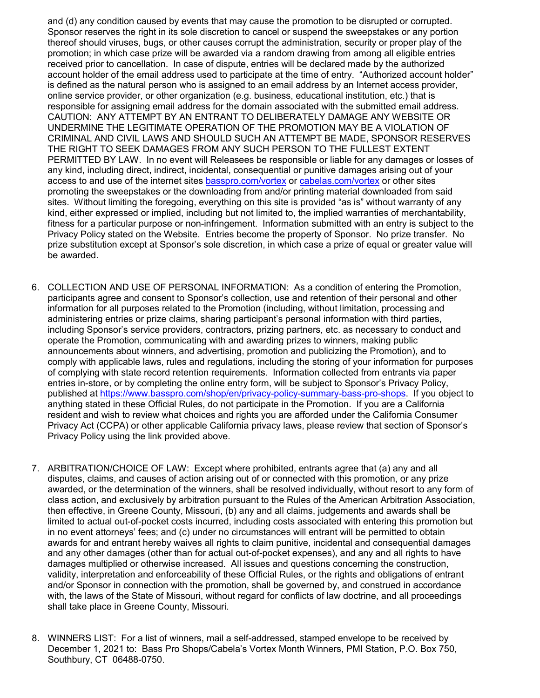and (d) any condition caused by events that may cause the promotion to be disrupted or corrupted. Sponsor reserves the right in its sole discretion to cancel or suspend the sweepstakes or any portion thereof should viruses, bugs, or other causes corrupt the administration, security or proper play of the promotion; in which case prize will be awarded via a random drawing from among all eligible entries received prior to cancellation. In case of dispute, entries will be declared made by the authorized account holder of the email address used to participate at the time of entry. "Authorized account holder" is defined as the natural person who is assigned to an email address by an Internet access provider, online service provider, or other organization (e.g. business, educational institution, etc.) that is responsible for assigning email address for the domain associated with the submitted email address. CAUTION: ANY ATTEMPT BY AN ENTRANT TO DELIBERATELY DAMAGE ANY WEBSITE OR UNDERMINE THE LEGITIMATE OPERATION OF THE PROMOTION MAY BE A VIOLATION OF CRIMINAL AND CIVIL LAWS AND SHOULD SUCH AN ATTEMPT BE MADE, SPONSOR RESERVES THE RIGHT TO SEEK DAMAGES FROM ANY SUCH PERSON TO THE FULLEST EXTENT PERMITTED BY LAW. In no event will Releasees be responsible or liable for any damages or losses of any kind, including direct, indirect, incidental, consequential or punitive damages arising out of your access to and use of the internet sites [basspro.com/vortex](http://www.basspro.com/vortex) or [cabelas.com/vortex](http://www.cabelas.com/vortex) or other sites promoting the sweepstakes or the downloading from and/or printing material downloaded from said sites. Without limiting the foregoing, everything on this site is provided "as is" without warranty of any kind, either expressed or implied, including but not limited to, the implied warranties of merchantability, fitness for a particular purpose or non-infringement. Information submitted with an entry is subject to the Privacy Policy stated on the Website. Entries become the property of Sponsor. No prize transfer. No prize substitution except at Sponsor's sole discretion, in which case a prize of equal or greater value will be awarded.

- 6. COLLECTION AND USE OF PERSONAL INFORMATION: As a condition of entering the Promotion, participants agree and consent to Sponsor's collection, use and retention of their personal and other information for all purposes related to the Promotion (including, without limitation, processing and administering entries or prize claims, sharing participant's personal information with third parties, including Sponsor's service providers, contractors, prizing partners, etc. as necessary to conduct and operate the Promotion, communicating with and awarding prizes to winners, making public announcements about winners, and advertising, promotion and publicizing the Promotion), and to comply with applicable laws, rules and regulations, including the storing of your information for purposes of complying with state record retention requirements. Information collected from entrants via paper entries in-store, or by completing the online entry form, will be subject to Sponsor's Privacy Policy, published at [https://www.basspro.com/shop/en/privacy-policy-summary-bass-pro-shops.](https://www.basspro.com/shop/en/privacy-policy-summary-bass-pro-shops) If you object to anything stated in these Official Rules, do not participate in the Promotion. If you are a California resident and wish to review what choices and rights you are afforded under the California Consumer Privacy Act (CCPA) or other applicable California privacy laws, please review that section of Sponsor's Privacy Policy using the link provided above.
- 7. ARBITRATION/CHOICE OF LAW: Except where prohibited, entrants agree that (a) any and all disputes, claims, and causes of action arising out of or connected with this promotion, or any prize awarded, or the determination of the winners, shall be resolved individually, without resort to any form of class action, and exclusively by arbitration pursuant to the Rules of the American Arbitration Association, then effective, in Greene County, Missouri, (b) any and all claims, judgements and awards shall be limited to actual out-of-pocket costs incurred, including costs associated with entering this promotion but in no event attorneys' fees; and (c) under no circumstances will entrant will be permitted to obtain awards for and entrant hereby waives all rights to claim punitive, incidental and consequential damages and any other damages (other than for actual out-of-pocket expenses), and any and all rights to have damages multiplied or otherwise increased. All issues and questions concerning the construction, validity, interpretation and enforceability of these Official Rules, or the rights and obligations of entrant and/or Sponsor in connection with the promotion, shall be governed by, and construed in accordance with, the laws of the State of Missouri, without regard for conflicts of law doctrine, and all proceedings shall take place in Greene County, Missouri.
- 8. WINNERS LIST: For a list of winners, mail a self-addressed, stamped envelope to be received by December 1, 2021 to: Bass Pro Shops/Cabela's Vortex Month Winners, PMI Station, P.O. Box 750, Southbury, CT 06488-0750.